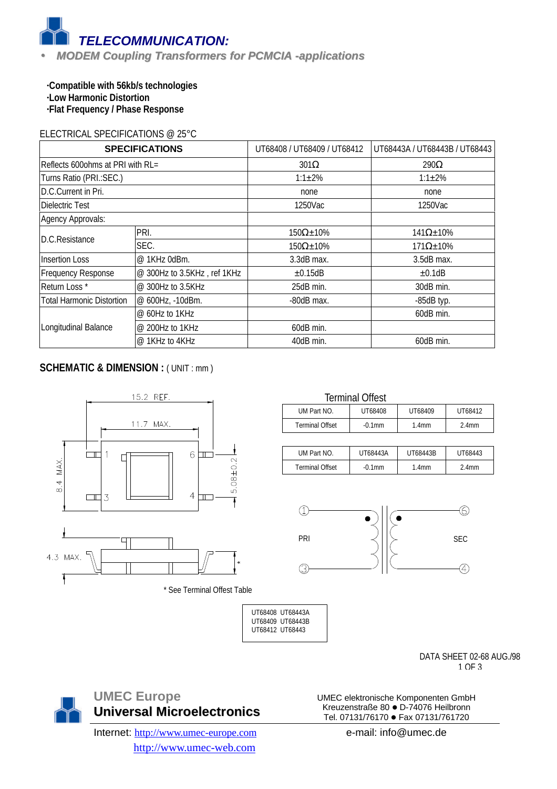

**·Compatible with 56kb/s technologies ·Low Harmonic Distortion ·Flat Frequency / Phase Response**

#### ELECTRICAL SPECIFICATIONS @ 25°C

| <b>SPECIFICATIONS</b>                         |                             | UT68408 / UT68409 / UT68412 | UT68443A / UT68443B / UT68443 |  |
|-----------------------------------------------|-----------------------------|-----------------------------|-------------------------------|--|
| Reflects 600ohms at PRI with RL=              |                             | $301\Omega$                 | $290\Omega$                   |  |
| Turns Ratio (PRI.: SEC.)                      |                             | $1:1 \pm 2\%$               | $1:1 \pm 2\%$                 |  |
| D.C.Current in Pri.                           |                             | none                        | none                          |  |
| Dielectric Test                               |                             | 1250Vac                     | 1250Vac                       |  |
| Agency Approvals:                             |                             |                             |                               |  |
|                                               | PRI.                        | $150\Omega \pm 10\%$        | $141\Omega \pm 10\%$          |  |
| D.C.Resistance                                | SEC.                        | $150\Omega \pm 10\%$        | $171\Omega \pm 10\%$          |  |
| <b>Insertion Loss</b>                         | @ 1KHz 0dBm.                | 3.3dB max.                  | $3.5dB$ max.                  |  |
| <b>Frequency Response</b>                     | @ 300Hz to 3.5KHz, ref 1KHz | $\pm 0.15$ dB               | ±0.1dB                        |  |
| Return Loss*<br>@ 300Hz to 3.5KHz             |                             | 25dB min.                   | 30dB min.                     |  |
| Total Harmonic Distortion<br>@ 600Hz, -10dBm. |                             | $-80dB$ max.                | $-85dB$ typ.                  |  |
|                                               | $@$ 60Hz to 1KHz            |                             | 60dB min.                     |  |
| Longitudinal Balance                          | @ 200Hz to 1KHz             | 60dB min.                   |                               |  |
|                                               | $@$ 1KHz to 4KHz            | 40dB min.                   | 60dB min.                     |  |

## **SCHEMATIC & DIMENSION : (UNIT : mm)**



| <b>Terminal Offest</b>                       |           |                   |          |  |
|----------------------------------------------|-----------|-------------------|----------|--|
| UT68409<br>UM Part NO.<br>UT68408<br>UT68412 |           |                   |          |  |
| <b>Terminal Offset</b>                       | $-0.1$ mm | 1.4 <sub>mm</sub> | $2.4$ mm |  |

| UM Part NO             | UT68443A  | UT68443B          | UT68443           |
|------------------------|-----------|-------------------|-------------------|
| <b>Terminal Offset</b> | $-0.1$ mm | 1.4 <sub>mm</sub> | 2.4 <sub>mm</sub> |



 UT68408 UT68443A UT68409 UT68443B UT68412 UT68443

> DATA SHEET 02-68 AUG./98 1 OF 3

**UMEC Europe Universal Microelectronics**

Internet: http://www.umec-europe.com http://www.umec-web.com

Kreuzenstraße 80 · D-74076 Heilbronn Tel. 07131/76170 · Fax 07131/761720 e-mail: info@umec.de

UMEC elektronische Komponenten GmbH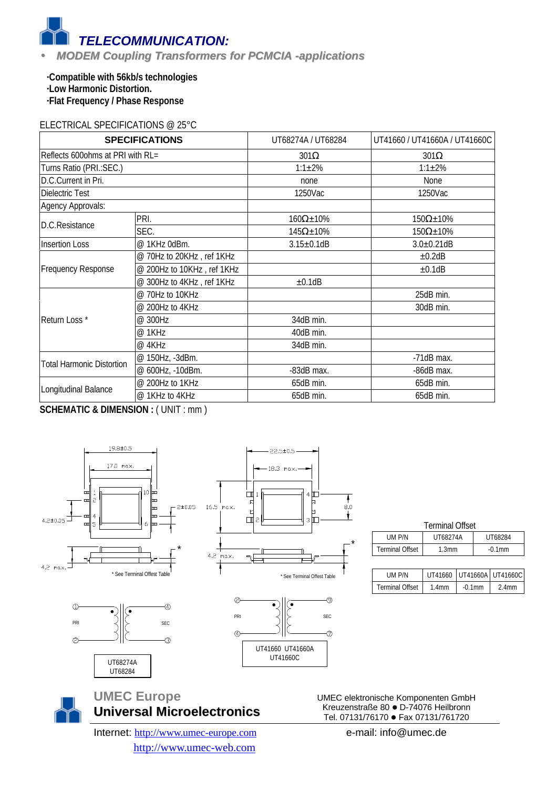*TELECOMMUNICATION:*

## • *MODEM Coupling Transformers for PCMCIA -applications*

**·Compatible with 56kb/s technologies ·Low Harmonic Distortion. ·Flat Frequency / Phase Response**

#### ELECTRICAL SPECIFICATIONS @ 25°C

| <b>SPECIFICATIONS</b>            |                            | UT68274A / UT68284   | UT41660 / UT41660A / UT41660C |
|----------------------------------|----------------------------|----------------------|-------------------------------|
| Reflects 600ohms at PRI with RL= |                            | $301\Omega$          | $301\Omega$                   |
| Turns Ratio (PRI.: SEC.)         |                            | $1:1 \pm 2\%$        | $1:1 \pm 2\%$                 |
| D.C.Current in Pri.              |                            | none                 | None                          |
| Dielectric Test                  |                            | 1250Vac              | 1250Vac                       |
| Agency Approvals:                |                            |                      |                               |
| D.C.Resistance                   | PRI.                       | $160\Omega \pm 10\%$ | $150\Omega \pm 10\%$          |
|                                  | SEC.                       | $145\Omega \pm 10\%$ | $150\Omega \pm 10\%$          |
| <b>Insertion Loss</b>            | @ 1KHz 0dBm.               | $3.15 \pm 0.1$ dB    | $3.0 \pm 0.21$ dB             |
|                                  | @ 70Hz to 20KHz, ref 1KHz  |                      | ±0.2dB                        |
| Frequency Response               | @ 200Hz to 10KHz, ref 1KHz |                      | ±0.1dB                        |
|                                  | @ 300Hz to 4KHz, ref 1KHz  | ±0.1dB               |                               |
|                                  | @ 70Hz to 10KHz            |                      | 25dB min.                     |
|                                  | @ 200Hz to 4KHz            |                      | 30dB min.                     |
| Return Loss*                     | @ 300Hz                    | 34dB min.            |                               |
|                                  | @ 1KHz                     | 40dB min.            |                               |
|                                  | @ 4KHz                     | 34dB min.            |                               |
| <b>Total Harmonic Distortion</b> | @ 150Hz, -3dBm.            |                      | $-71dB$ max.                  |
|                                  | @ 600Hz, -10dBm.           | -83dB max.           | -86dB max.                    |
|                                  | @ 200Hz to 1KHz            | 65dB min.            | 65dB min.                     |
| Longitudinal Balance             | @ 1KHz to 4KHz             | 65dB min.            | 65dB min.                     |

**SCHEMATIC & DIMENSION : ( UNIT : mm )** 



| <b>Terminal Offset</b> |                   |           |  |  |  |
|------------------------|-------------------|-----------|--|--|--|
| UM P/N                 | <b>UT68274A</b>   | UT68284   |  |  |  |
| <b>Terminal Offset</b> | 1.3 <sub>mm</sub> | $-0.1$ mm |  |  |  |
|                        |                   |           |  |  |  |

| UM P/N          |       | UT41660 UT41660A UT41660C |       |
|-----------------|-------|---------------------------|-------|
| Terminal Offset | 1 4mm | $-0.1$ mm                 | 2 4mm |

UMEC elektronische Komponenten GmbH Kreuzenstraße 80 · D-74076 Heilbronn Tel. 07131/76170 · Fax 07131/761720

\*

⊚

 $\circledcirc$ 

 $\frac{1}{8.0}$ 

Ŷ.

Internet: http://www.umec-europe.com http://www.umec-web.com

**Universal Microelectronics**

**UMEC Europe**

e-mail: info@umec.de